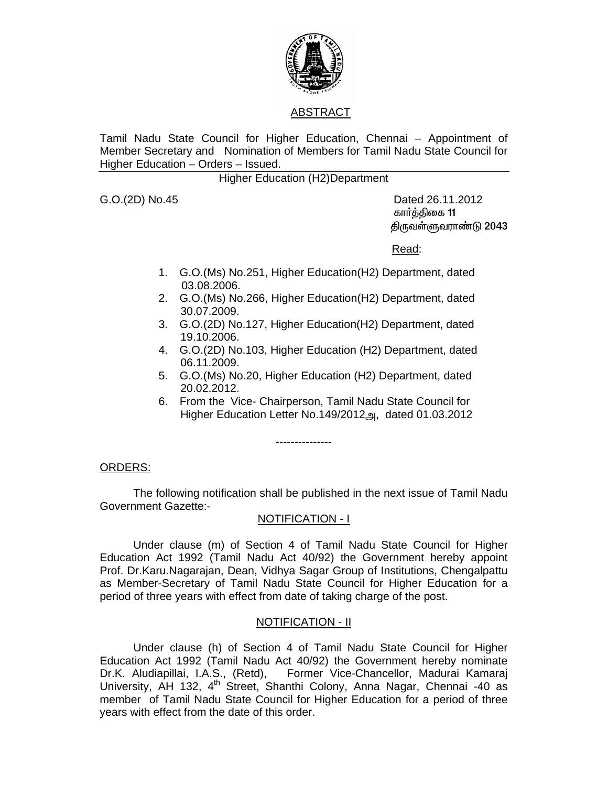

# ABSTRACT

Tamil Nadu State Council for Higher Education, Chennai – Appointment of Member Secretary and Nomination of Members for Tamil Nadu State Council for Higher Education – Orders – Issued.

Higher Education (H2)Department

G.O.(2D) No.45 Dated 26.11.2012 கார்த்திகை 11 திருவள்ளுவராண்டு 2043

<u>Read: Album and Album and Album and Album and Album and Album and Album and Album and Album and Album and Albu</u>

- 1. G.O.(Ms) No.251, Higher Education(H2) Department, dated 03.08.2006.
- 2. G.O.(Ms) No.266, Higher Education(H2) Department, dated 30.07.2009.
- 3. G.O.(2D) No.127, Higher Education(H2) Department, dated 19.10.2006.
- 4. G.O.(2D) No.103, Higher Education (H2) Department, dated 06.11.2009.
- 5. G.O.(Ms) No.20, Higher Education (H2) Department, dated 20.02.2012.
- 6. From the Vice- Chairperson, Tamil Nadu State Council for Higher Education Letter No.149/2012அ, dated 01.03.2012

ORDERS:

The following notification shall be published in the next issue of Tamil Nadu Government Gazette:-

---------------

# NOTIFICATION - I

 Under clause (m) of Section 4 of Tamil Nadu State Council for Higher Education Act 1992 (Tamil Nadu Act 40/92) the Government hereby appoint Prof. Dr.Karu.Nagarajan, Dean, Vidhya Sagar Group of Institutions, Chengalpattu as Member-Secretary of Tamil Nadu State Council for Higher Education for a period of three years with effect from date of taking charge of the post.

# NOTIFICATION - II

 Under clause (h) of Section 4 of Tamil Nadu State Council for Higher Education Act 1992 (Tamil Nadu Act 40/92) the Government hereby nominate Dr.K. Aludiapillai, I.A.S., (Retd), Former Vice-Chancellor, Madurai Kamaraj University, AH 132, 4<sup>th</sup> Street, Shanthi Colony, Anna Nagar, Chennai -40 as member of Tamil Nadu State Council for Higher Education for a period of three years with effect from the date of this order.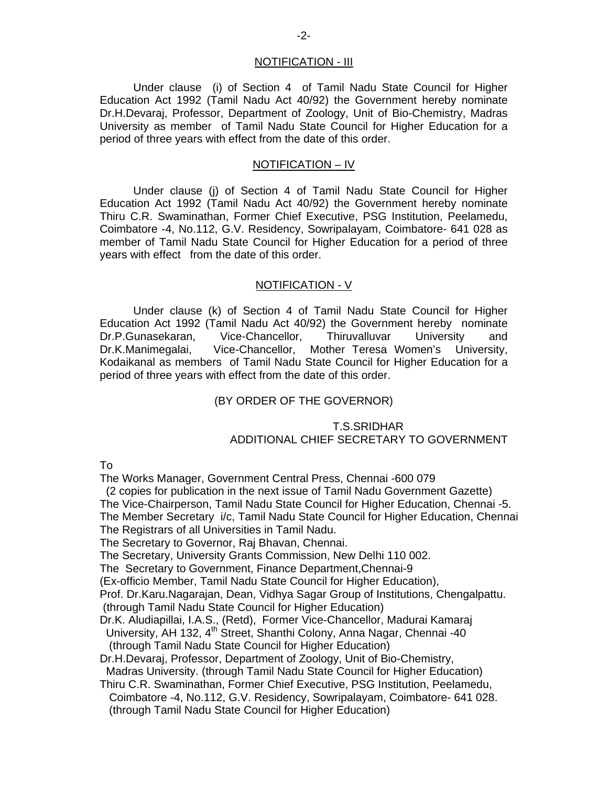### NOTIFICATION - III

 Under clause (i) of Section 4 of Tamil Nadu State Council for Higher Education Act 1992 (Tamil Nadu Act 40/92) the Government hereby nominate Dr.H.Devaraj, Professor, Department of Zoology, Unit of Bio-Chemistry, Madras University as member of Tamil Nadu State Council for Higher Education for a period of three years with effect from the date of this order.

#### NOTIFICATION – IV

 Under clause (j) of Section 4 of Tamil Nadu State Council for Higher Education Act 1992 (Tamil Nadu Act 40/92) the Government hereby nominate Thiru C.R. Swaminathan, Former Chief Executive, PSG Institution, Peelamedu, Coimbatore -4, No.112, G.V. Residency, Sowripalayam, Coimbatore- 641 028 as member of Tamil Nadu State Council for Higher Education for a period of three years with effect from the date of this order.

### NOTIFICATION - V

 Under clause (k) of Section 4 of Tamil Nadu State Council for Higher Education Act 1992 (Tamil Nadu Act 40/92) the Government hereby nominate Dr.P.Gunasekaran, Vice-Chancellor, Thiruvalluvar University and Dr.K.Manimegalai, Vice-Chancellor, Mother Teresa Women's University, Kodaikanal as members of Tamil Nadu State Council for Higher Education for a period of three years with effect from the date of this order.

### (BY ORDER OF THE GOVERNOR)

### T.S.SRIDHAR ADDITIONAL CHIEF SECRETARY TO GOVERNMENT

To

The Works Manager, Government Central Press, Chennai -600 079

 (2 copies for publication in the next issue of Tamil Nadu Government Gazette) The Vice-Chairperson, Tamil Nadu State Council for Higher Education, Chennai -5. The Member Secretary i/c, Tamil Nadu State Council for Higher Education, Chennai The Registrars of all Universities in Tamil Nadu.

The Secretary to Governor, Raj Bhavan, Chennai.

The Secretary, University Grants Commission, New Delhi 110 002.

The Secretary to Government, Finance Department,Chennai-9

(Ex-officio Member, Tamil Nadu State Council for Higher Education),

Prof. Dr.Karu.Nagarajan, Dean, Vidhya Sagar Group of Institutions, Chengalpattu. (through Tamil Nadu State Council for Higher Education)

Dr.K. Aludiapillai, I.A.S., (Retd), Former Vice-Chancellor, Madurai Kamaraj

University, AH 132, 4<sup>th</sup> Street, Shanthi Colony, Anna Nagar, Chennai -40 (through Tamil Nadu State Council for Higher Education)

Dr.H.Devaraj, Professor, Department of Zoology, Unit of Bio-Chemistry,

Madras University. (through Tamil Nadu State Council for Higher Education)

Thiru C.R. Swaminathan, Former Chief Executive, PSG Institution, Peelamedu, Coimbatore -4, No.112, G.V. Residency, Sowripalayam, Coimbatore- 641 028. (through Tamil Nadu State Council for Higher Education)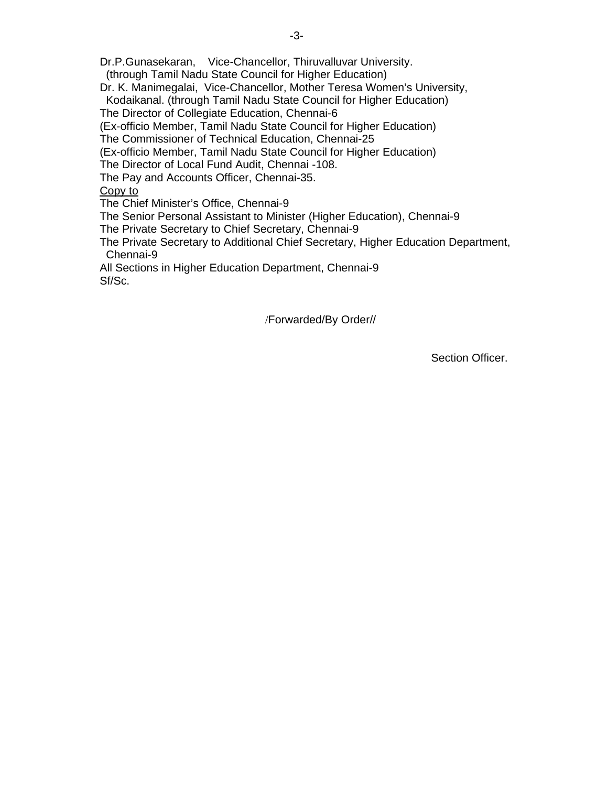Dr.P.Gunasekaran, Vice-Chancellor, Thiruvalluvar University.

(through Tamil Nadu State Council for Higher Education)

Dr. K. Manimegalai, Vice-Chancellor, Mother Teresa Women's University,

 Kodaikanal. (through Tamil Nadu State Council for Higher Education) The Director of Collegiate Education, Chennai-6

(Ex-officio Member, Tamil Nadu State Council for Higher Education)

The Commissioner of Technical Education, Chennai-25

(Ex-officio Member, Tamil Nadu State Council for Higher Education)

The Director of Local Fund Audit, Chennai -108.

The Pay and Accounts Officer, Chennai-35.

Copy to

The Chief Minister's Office, Chennai-9

The Senior Personal Assistant to Minister (Higher Education), Chennai-9

The Private Secretary to Chief Secretary, Chennai-9

The Private Secretary to Additional Chief Secretary, Higher Education Department, Chennai-9

All Sections in Higher Education Department, Chennai-9 Sf/Sc.

/Forwarded/By Order//

Section Officer.